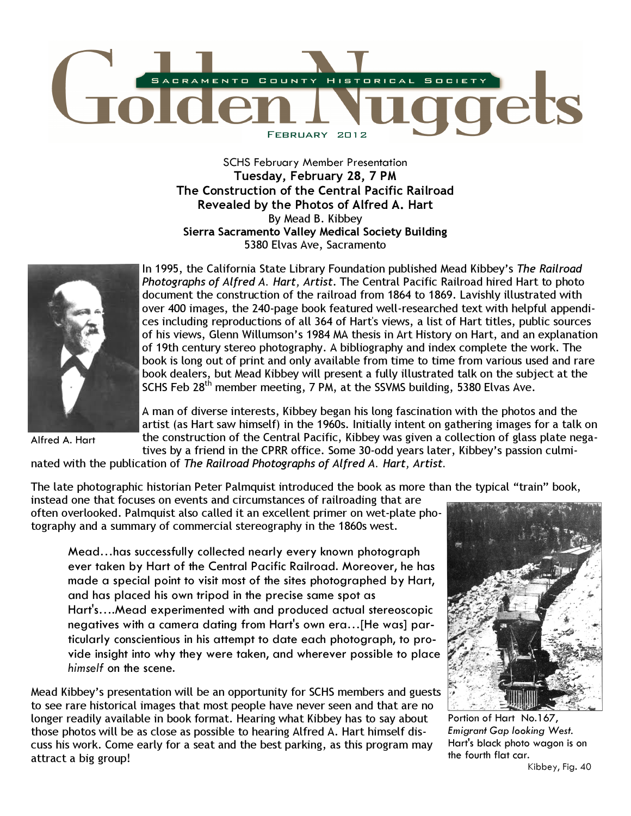

SCHS February Member Presentation Tuesday, February 28, 7 PM The Construction of the Central Pacific Railroad Revealed by the Photos of Alfred A. Hart By Mead B. Kibbey Sierra Sacramento Valley Medical Society Building 5380 Elvas Ave, Sacramento



Alfred A. Hart

In 1995, the California State Library Foundation published Mead Kibbey's The Railroad Photographs of Alfred A. Hart, Artist. The Central Pacific Railroad hired Hart to photo document the construction of the railroad from 1864 to 1869. Lavishly illustrated with over 400 images, the 240-page book featured well-researched text with helpful appendices including reproductions of all 364 of Hart's views, a list of Hart titles, public sources of his views, Glenn Willumson's 1984 MA thesis in Art History on Hart, and an explanation of 19th century stereo photography. A bibliography and index complete the work. The book is long out of print and only available from time to time from various used and rare book dealers, but Mead Kibbey will present a fully illustrated talk on the subject at the SCHS Feb 28th member meeting, 7 PM, at the SSVMS building, 5380 Elvas Ave.

A man of diverse interests, Kibbey began his long fascination with the photos and the artist (as Hart saw himself) in the 1960s. Initially intent on gathering images for a talk on the construction of the Central Pacific, Kibbey was given a collection of glass plate negatives by a friend in the CPRR office. Some 30-odd years later, Kibbey's passion culmi-

nated with the publication of The Railroad Photographs of Alfred A. Hart, Artist.

The late photographic historian Peter Palmquist introduced the book as more than the typical "train" book,

instead one that focuses on events and circumstances of railroading that are often overlooked. Palmquist also called it an excellent primer on wet-plate photography and a summary of commercial stereography in the 1860s west.

Mead…has successfully collected nearly every known photograph ever taken by Hart of the Central Pacific Railroad. Moreover, he has made a special point to visit most of the sites photographed by Hart, and has placed his own tripod in the precise same spot as Hart's….Mead experimented with and produced actual stereoscopic negatives with a camera dating from Hart's own era…[He was] particularly conscientious in his attempt to date each photograph, to provide insight into why they were taken, and wherever possible to place himself on the scene.

Mead Kibbey's presentation will be an opportunity for SCHS members and guests to see rare historical images that most people have never seen and that are no longer readily available in book format. Hearing what Kibbey has to say about those photos will be as close as possible to hearing Alfred A. Hart himself discuss his work. Come early for a seat and the best parking, as this program may attract a big group!



Portion of Hart No.167, Emigrant Gap looking West. Hart's black photo wagon is on the fourth flat car.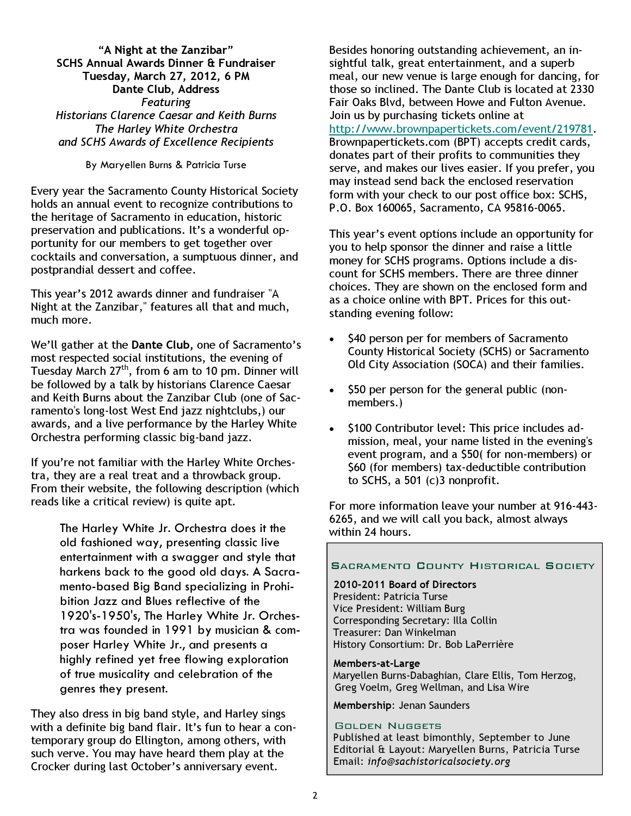"A Night at the Zanzibar" SCHS Annual Awards Dinner & Fundraiser Tuesday, March 27, 2012, 6 PM Dante Club, Address Featuring Historians Clarence Caesar and Keith Burns The Harley White Orchestra and SCHS Awards of Excellence Recipients

By Maryellen Burns & Patricia Turse

Every year the Sacramento County Historical Society holds an annual event to recognize contributions to the heritage of Sacramento in education, historic preservation and publications. It's a wonderful opportunity for our members to get together over cocktails and conversation, a sumptuous dinner, and postprandial dessert and coffee.

This year's 2012 awards dinner and fundraiser "A Night at the Zanzibar," features all that and much, much more.

We'll gather at the Dante Club, one of Sacramento's most respected social institutions, the evening of Tuesday March 27<sup>th</sup>, from 6 am to 10 pm. Dinner will be followed by a talk by historians Clarence Caesar and Keith Burns about the Zanzibar Club (one of Sacramento's long-lost West End jazz nightclubs,) our awards, and a live performance by the Harley White Orchestra performing classic big-band jazz.

If you're not familiar with the Harley White Orchestra, they are a real treat and a throwback group. From their website, the following description (which reads like a critical review) is quite apt.

> The Harley White Jr. Orchestra does it the old fashioned way, presenting classic live entertainment with a swagger and style that harkens back to the good old days. A Sacramento-based Big Band specializing in Prohibition Jazz and Blues reflective of the 1920's-1950's, The Harley White Jr. Orchestra was founded in 1991 by musician & composer Harley White Jr., and presents a highly refined yet free flowing exploration of true musicality and celebration of the genres they present.

They also dress in big band style, and Harley sings with a definite big band flair. It's fun to hear a contemporary group do Ellington, among others, with such verve. You may have heard them play at the Crocker during last October's anniversary event.

Besides honoring outstanding achievement, an insightful talk, great entertainment, and a superb meal, our new venue is large enough for dancing, for those so inclined. The Dante Club is located at 2330 Fair Oaks Blvd, between Howe and Fulton Avenue. Join us by purchasing tickets online at http://www.brownpapertickets.com/event/219781. Brownpapertickets.com (BPT) accepts credit cards, donates part of their profits to communities they serve, and makes our lives easier. If you prefer, you may instead send back the enclosed reservation form with your check to our post office box: SCHS, P.O. Box 160065, Sacramento, CA 95816-0065.

This year's event options include an opportunity for you to help sponsor the dinner and raise a little money for SCHS programs. Options include a discount for SCHS members. There are three dinner choices. They are shown on the enclosed form and as a choice online with BPT. Prices for this outstanding evening follow:

- \$40 person per for members of Sacramento County Historical Society (SCHS) or Sacramento Old City Association (SOCA) and their families.
- \$50 per person for the general public (nonmembers.)
- \$100 Contributor level: This price includes admission, meal, your name listed in the evening's event program, and a \$50( for non-members) or \$60 (for members) tax-deductible contribution to SCHS, a 501 (c)3 nonprofit.

For more information leave your number at 916-443- 6265, and we will call you back, almost always within 24 hours.

## **SACRAMENTO COUNTY HISTORICAL SOCIETY**

#### 2010-2011 Board of Directors

President: Patricia Turse Vice President: William Burg Corresponding Secretary: Illa Collin Treasurer: Dan Winkelman History Consortium: Dr. Bob LaPerrière

#### Members-at-Large

 Maryellen Burns-Dabaghian, Clare Ellis, Tom Herzog, Greg Voelm, Greg Wellman, and Lisa Wire

Membership: Jenan Saunders

#### GOLDEN NUGGETS

Published at least bimonthly, September to June Editorial & Layout: Maryellen Burns, Patricia Turse Email: info@sachistoricalsociety.org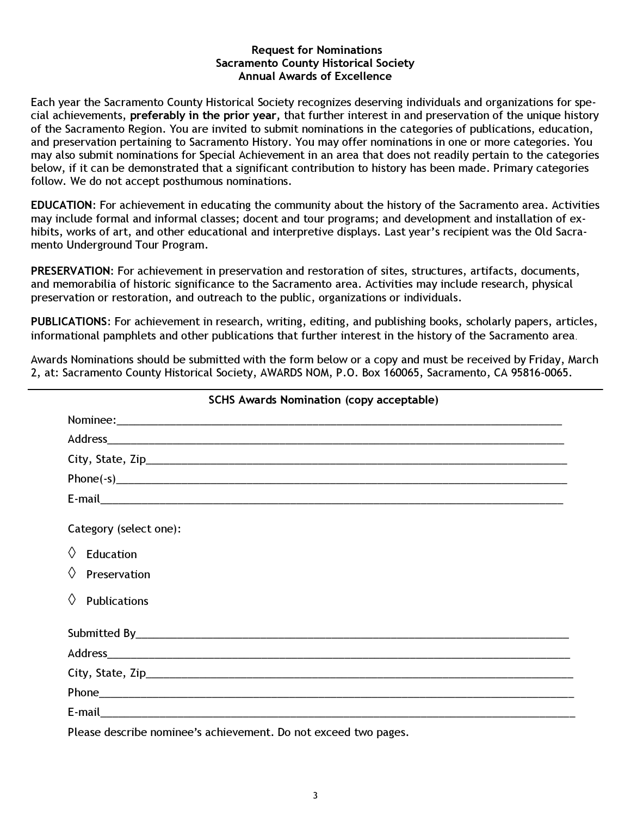## Request for Nominations Sacramento County Historical Society Annual Awards of Excellence

Each year the Sacramento County Historical Society recognizes deserving individuals and organizations for special achievements, preferably in the prior year, that further interest in and preservation of the unique history of the Sacramento Region. You are invited to submit nominations in the categories of publications, education, and preservation pertaining to Sacramento History. You may offer nominations in one or more categories. You may also submit nominations for Special Achievement in an area that does not readily pertain to the categories below, if it can be demonstrated that a significant contribution to history has been made. Primary categories follow. We do not accept posthumous nominations.

EDUCATION: For achievement in educating the community about the history of the Sacramento area. Activities may include formal and informal classes; docent and tour programs; and development and installation of exhibits, works of art, and other educational and interpretive displays. Last year's recipient was the Old Sacramento Underground Tour Program.

PRESERVATION: For achievement in preservation and restoration of sites, structures, artifacts, documents, and memorabilia of historic significance to the Sacramento area. Activities may include research, physical preservation or restoration, and outreach to the public, organizations or individuals.

PUBLICATIONS: For achievement in research, writing, editing, and publishing books, scholarly papers, articles, informational pamphlets and other publications that further interest in the history of the Sacramento area.

Awards Nominations should be submitted with the form below or a copy and must be received by Friday, March 2, at: Sacramento County Historical Society, AWARDS NOM, P.O. Box 160065, Sacramento, CA 95816-0065.

| <b>SCHS Awards Nomination (copy acceptable)</b> |  |  |
|-------------------------------------------------|--|--|
|                                                 |  |  |
|                                                 |  |  |
|                                                 |  |  |
|                                                 |  |  |
|                                                 |  |  |
| Category (select one):                          |  |  |
| $\langle \rangle$<br>Education                  |  |  |
| $\Diamond$ Preservation                         |  |  |
| $\Diamond$<br><b>Publications</b>               |  |  |
|                                                 |  |  |
|                                                 |  |  |
|                                                 |  |  |
|                                                 |  |  |
|                                                 |  |  |